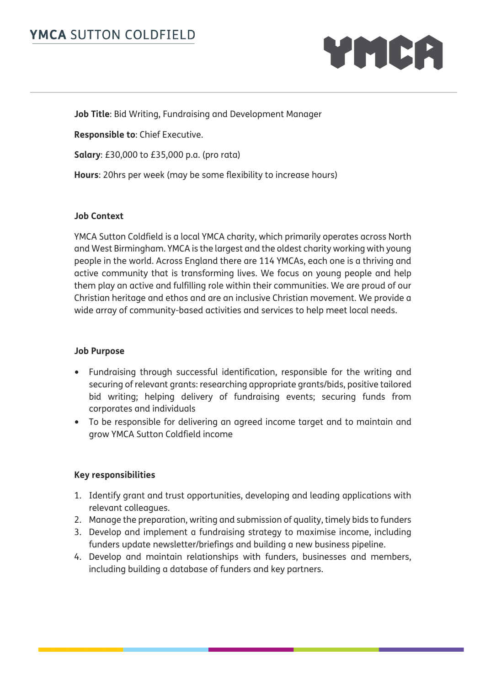

**Job Title**: Bid Writing, Fundraising and Development Manager

**Responsible to**: Chief Executive.

**Salary**: £30,000 to £35,000 p.a. (pro rata)

**Hours**: 20hrs per week (may be some flexibility to increase hours)

#### **Job Context**

YMCA Sutton Coldfield is a local YMCA charity, which primarily operates across North and West Birmingham. YMCA is the largest and the oldest charity working with young people in the world. Across England there are 114 YMCAs, each one is a thriving and active community that is transforming lives. We focus on young people and help them play an active and fulfilling role within their communities. We are proud of our Christian heritage and ethos and are an inclusive Christian movement. We provide a wide array of community-based activities and services to help meet local needs.

#### **Job Purpose**

- Fundraising through successful identification, responsible for the writing and securing of relevant grants: researching appropriate grants/bids, positive tailored bid writing; helping delivery of fundraising events; securing funds from corporates and individuals
- To be responsible for delivering an agreed income target and to maintain and grow YMCA Sutton Coldfield income

#### **Key responsibilities**

- 1. Identify grant and trust opportunities, developing and leading applications with relevant colleagues.
- 2. Manage the preparation, writing and submission of quality, timely bids to funders
- 3. Develop and implement a fundraising strategy to maximise income, including funders update newsletter/briefings and building a new business pipeline.
- 4. Develop and maintain relationships with funders, businesses and members, including building a database of funders and key partners.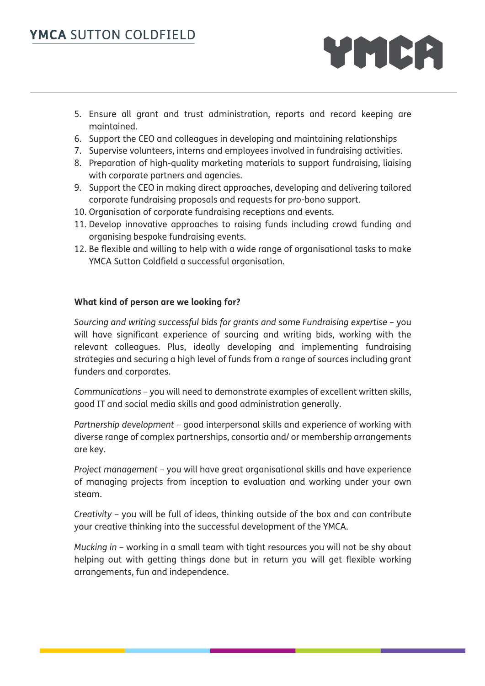- YMCA
- 5. Ensure all grant and trust administration, reports and record keeping are maintained.
- 6. Support the CEO and colleagues in developing and maintaining relationships
- 7. Supervise volunteers, interns and employees involved in fundraising activities.
- 8. Preparation of high-quality marketing materials to support fundraising, liaising with corporate partners and agencies.
- 9. Support the CEO in making direct approaches, developing and delivering tailored corporate fundraising proposals and requests for pro-bono support.
- 10. Organisation of corporate fundraising receptions and events.
- 11. Develop innovative approaches to raising funds including crowd funding and organising bespoke fundraising events.
- 12. Be flexible and willing to help with a wide range of organisational tasks to make YMCA Sutton Coldfield a successful organisation.

### **What kind of person are we looking for?**

*Sourcing and writing successful bids for grants and some Fundraising expertise* – you will have significant experience of sourcing and writing bids, working with the relevant colleagues. Plus, ideally developing and implementing fundraising strategies and securing a high level of funds from a range of sources including grant funders and corporates.

*Communications* – you will need to demonstrate examples of excellent written skills, good IT and social media skills and good administration generally.

*Partnership development* – good interpersonal skills and experience of working with diverse range of complex partnerships, consortia and/ or membership arrangements are key.

*Project management* – you will have great organisational skills and have experience of managing projects from inception to evaluation and working under your own steam.

*Creativity* – you will be full of ideas, thinking outside of the box and can contribute your creative thinking into the successful development of the YMCA.

*Mucking in* – working in a small team with tight resources you will not be shy about helping out with getting things done but in return you will get flexible working arrangements, fun and independence.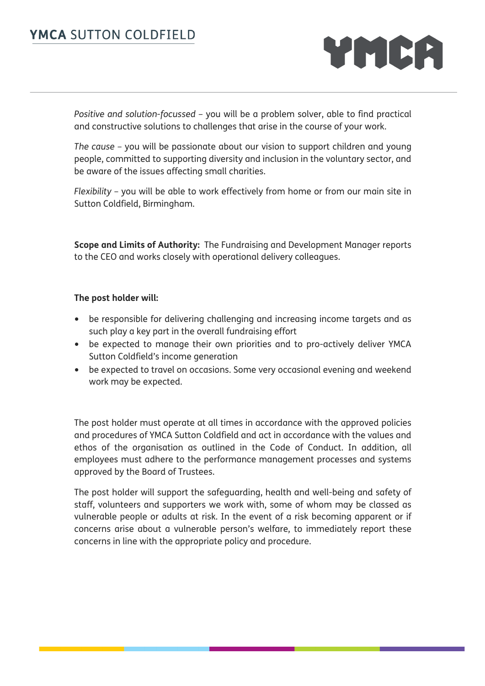

*Positive and solution-focussed* – you will be a problem solver, able to find practical and constructive solutions to challenges that arise in the course of your work.

*The cause* – you will be passionate about our vision to support children and young people, committed to supporting diversity and inclusion in the voluntary sector, and be aware of the issues affecting small charities.

*Flexibility* – you will be able to work effectively from home or from our main site in Sutton Coldfield, Birmingham.

**Scope and Limits of Authority:** The Fundraising and Development Manager reports to the CEO and works closely with operational delivery colleagues.

#### **The post holder will:**

- be responsible for delivering challenging and increasing income targets and as such play a key part in the overall fundraising effort
- be expected to manage their own priorities and to pro-actively deliver YMCA Sutton Coldfield's income generation
- be expected to travel on occasions. Some very occasional evening and weekend work may be expected.

The post holder must operate at all times in accordance with the approved policies and procedures of YMCA Sutton Coldfield and act in accordance with the values and ethos of the organisation as outlined in the Code of Conduct. In addition, all employees must adhere to the performance management processes and systems approved by the Board of Trustees.

The post holder will support the safeguarding, health and well-being and safety of staff, volunteers and supporters we work with, some of whom may be classed as vulnerable people or adults at risk. In the event of a risk becoming apparent or if concerns arise about a vulnerable person's welfare, to immediately report these concerns in line with the appropriate policy and procedure.